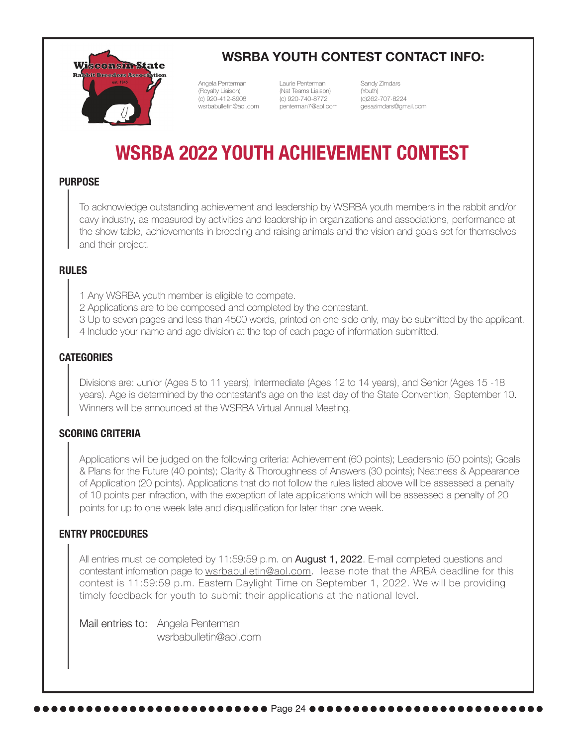

## **WSRBA YOUTH CONTEST CONTACT INFO:**

Angela Penterman (Royalty Liaison) (c) 920-412-8908 wsrbabulletin@aol.com

Laurie Penterman (Nat Teams Liaison) (c) 920-740-8772 penterman7@aol.com Sandy Zimdars (Youth) (c)262-707-8224 gesazimdars@gmail.com

# **WSRBA 2022 YOUTH ACHIEVEMENT CONTEST**

## **PURPOSE**

To acknowledge outstanding achievement and leadership by WSRBA youth members in the rabbit and/or cavy industry, as measured by activities and leadership in organizations and associations, performance at the show table, achievements in breeding and raising animals and the vision and goals set for themselves and their project.

#### **RULES**

1 Any WSRBA youth member is eligible to compete.

- 2 Applications are to be composed and completed by the contestant.
- 3 Up to seven pages and less than 4500 words, printed on one side only, may be submitted by the applicant.
- 4 Include your name and age division at the top of each page of information submitted.

### **CATEGORIES**

Divisions are: Junior (Ages 5 to 11 years), Intermediate (Ages 12 to 14 years), and Senior (Ages 15 -18 years). Age is determined by the contestant's age on the last day of the State Convention, September 10. Winners will be announced at the WSRBA Virtual Annual Meeting.

#### **SCORING CRITERIA**

Applications will be judged on the following criteria: Achievement (60 points); Leadership (50 points); Goals & Plans for the Future (40 points); Clarity & Thoroughness of Answers (30 points); Neatness & Appearance of Application (20 points). Applications that do not follow the rules listed above will be assessed a penalty of 10 points per infraction, with the exception of late applications which will be assessed a penalty of 20 points for up to one week late and disqualification for later than one week.

#### **ENTRY PROCEDURES**

All entries must be completed by 11:59:59 p.m. on **August 1, 2022**. E-mail completed questions and contestant infomation page to wsrbabulletin@aol.com. lease note that the ARBA deadline for this contest is 11:59:59 p.m. Eastern Daylight Time on September 1, 2022. We will be providing timely feedback for youth to submit their applications at the national level.

Mail entries to: Angela Penterman wsrbabulletin@aol.com